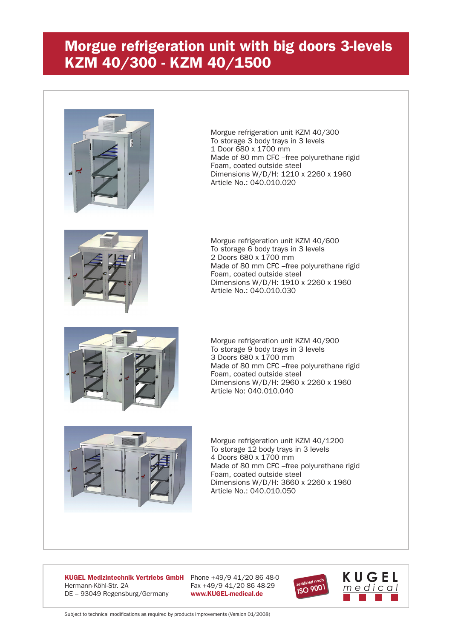## **Morgue refrigeration unit with big doors 3-levels KZM 40/300 - KZM 40/1500**



Morgue refrigeration unit KZM 40/300 To storage 3 body trays in 3 levels 1 Door 680 x 1700 mm Made of 80 mm CFC –free polyurethane rigid Foam, coated outside steel Dimensions W/D/H: 1210 x 2260 x 1960 Article No.: 040.010.020



Morgue refrigeration unit KZM 40/600 To storage 6 body trays in 3 levels 2 Doors 680 x 1700 mm Made of 80 mm CFC –free polyurethane rigid Foam, coated outside steel Dimensions W/D/H: 1910 x 2260 x 1960 Article No.: 040.010.030



Morgue refrigeration unit KZM 40/900 To storage 9 body trays in 3 levels 3 Doors 680 x 1700 mm Made of 80 mm CFC –free polyurethane rigid Foam, coated outside steel Dimensions W/D/H: 2960 x 2260 x 1960 Article No: 040.010.040



Morgue refrigeration unit KZM 40/1200 To storage 12 body trays in 3 levels 4 Doors 680 x 1700 mm Made of 80 mm CFC –free polyurethane rigid Foam, coated outside steel Dimensions W/D/H: 3660 x 2260 x 1960 Article No.: 040.010.050

**KUGEL Medizintechnik Vertriebs GmbH** Phone +49/9 41/20 86 48-0 Hermann-Köhl-Str. 2A Fax +49/9 41/20 86 48-29 DE – 93049 Regensburg/Germany **www.KUGEL-medical.de**



Subject to technical modifications as required by products improvements (Version 01/2008)